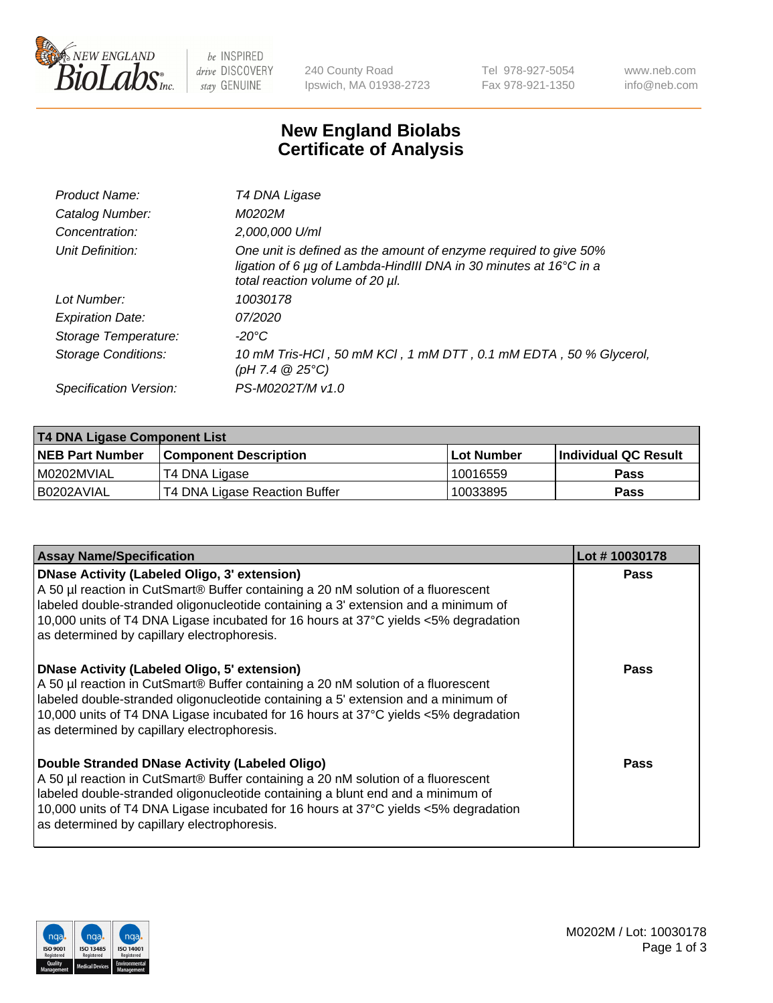

be INSPIRED drive DISCOVERY stay GENUINE

240 County Road Ipswich, MA 01938-2723 Tel 978-927-5054 Fax 978-921-1350 www.neb.com info@neb.com

## **New England Biolabs Certificate of Analysis**

| T4 DNA Ligase                                                                                                                                                            |
|--------------------------------------------------------------------------------------------------------------------------------------------------------------------------|
| M0202M                                                                                                                                                                   |
| 2,000,000 U/ml                                                                                                                                                           |
| One unit is defined as the amount of enzyme required to give 50%<br>ligation of 6 µg of Lambda-HindIII DNA in 30 minutes at 16°C in a<br>total reaction volume of 20 µl. |
| 10030178                                                                                                                                                                 |
| 07/2020                                                                                                                                                                  |
| $-20^{\circ}$ C                                                                                                                                                          |
| 10 mM Tris-HCl, 50 mM KCl, 1 mM DTT, 0.1 mM EDTA, 50 % Glycerol,<br>(pH 7.4 $@25°C$ )                                                                                    |
| PS-M0202T/M v1.0                                                                                                                                                         |
|                                                                                                                                                                          |

| T4 DNA Ligase Component List |                               |              |                             |  |  |
|------------------------------|-------------------------------|--------------|-----------------------------|--|--|
| <b>NEB Part Number</b>       | l Component Description       | l Lot Number | <b>Individual QC Result</b> |  |  |
| I M0202MVIAL                 | T4 DNA Ligase                 | 10016559     | <b>Pass</b>                 |  |  |
| I B0202AVIAL                 | T4 DNA Ligase Reaction Buffer | 10033895     | <b>Pass</b>                 |  |  |

| <b>Assay Name/Specification</b>                                                                                                                                                                                                                                                                                                                               | Lot #10030178 |
|---------------------------------------------------------------------------------------------------------------------------------------------------------------------------------------------------------------------------------------------------------------------------------------------------------------------------------------------------------------|---------------|
| DNase Activity (Labeled Oligo, 3' extension)<br>A 50 µl reaction in CutSmart® Buffer containing a 20 nM solution of a fluorescent<br>labeled double-stranded oligonucleotide containing a 3' extension and a minimum of<br>10,000 units of T4 DNA Ligase incubated for 16 hours at 37°C yields <5% degradation<br>as determined by capillary electrophoresis. | <b>Pass</b>   |
| DNase Activity (Labeled Oligo, 5' extension)<br>A 50 µl reaction in CutSmart® Buffer containing a 20 nM solution of a fluorescent<br>labeled double-stranded oligonucleotide containing a 5' extension and a minimum of<br>10,000 units of T4 DNA Ligase incubated for 16 hours at 37°C yields <5% degradation<br>as determined by capillary electrophoresis. | <b>Pass</b>   |
| Double Stranded DNase Activity (Labeled Oligo)<br>A 50 µl reaction in CutSmart® Buffer containing a 20 nM solution of a fluorescent<br>abeled double-stranded oligonucleotide containing a blunt end and a minimum of<br>10,000 units of T4 DNA Ligase incubated for 16 hours at 37°C yields <5% degradation<br>as determined by capillary electrophoresis.   | Pass          |

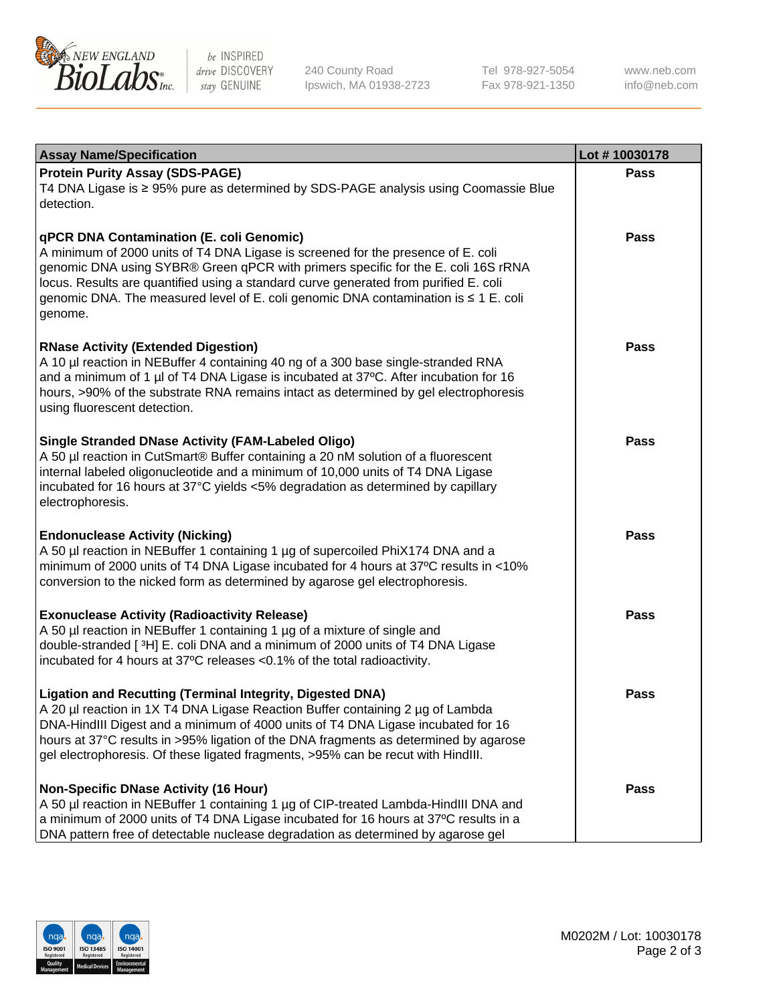

be INSPIRED drive DISCOVERY stay GENUINE

240 County Road Ipswich, MA 01938-2723 Tel 978-927-5054 Fax 978-921-1350 www.neb.com info@neb.com

| <b>Assay Name/Specification</b>                                                                                                                                                                                                                                                                                                                                                                                    | Lot #10030178 |
|--------------------------------------------------------------------------------------------------------------------------------------------------------------------------------------------------------------------------------------------------------------------------------------------------------------------------------------------------------------------------------------------------------------------|---------------|
| <b>Protein Purity Assay (SDS-PAGE)</b><br>T4 DNA Ligase is ≥ 95% pure as determined by SDS-PAGE analysis using Coomassie Blue<br>detection.                                                                                                                                                                                                                                                                        | <b>Pass</b>   |
| qPCR DNA Contamination (E. coli Genomic)<br>A minimum of 2000 units of T4 DNA Ligase is screened for the presence of E. coli<br>genomic DNA using SYBR® Green qPCR with primers specific for the E. coli 16S rRNA<br>locus. Results are quantified using a standard curve generated from purified E. coli<br>genomic DNA. The measured level of E. coli genomic DNA contamination is ≤ 1 E. coli<br>genome.        | <b>Pass</b>   |
| <b>RNase Activity (Extended Digestion)</b><br>A 10 µl reaction in NEBuffer 4 containing 40 ng of a 300 base single-stranded RNA<br>and a minimum of 1 µl of T4 DNA Ligase is incubated at 37°C. After incubation for 16<br>hours, >90% of the substrate RNA remains intact as determined by gel electrophoresis<br>using fluorescent detection.                                                                    | <b>Pass</b>   |
| <b>Single Stranded DNase Activity (FAM-Labeled Oligo)</b><br>A 50 µl reaction in CutSmart® Buffer containing a 20 nM solution of a fluorescent<br>internal labeled oligonucleotide and a minimum of 10,000 units of T4 DNA Ligase<br>incubated for 16 hours at 37°C yields <5% degradation as determined by capillary<br>electrophoresis.                                                                          | <b>Pass</b>   |
| <b>Endonuclease Activity (Nicking)</b><br>A 50 µl reaction in NEBuffer 1 containing 1 µg of supercoiled PhiX174 DNA and a<br>minimum of 2000 units of T4 DNA Ligase incubated for 4 hours at 37°C results in <10%<br>conversion to the nicked form as determined by agarose gel electrophoresis.                                                                                                                   | <b>Pass</b>   |
| <b>Exonuclease Activity (Radioactivity Release)</b><br>A 50 µl reaction in NEBuffer 1 containing 1 µg of a mixture of single and<br>double-stranded [3H] E. coli DNA and a minimum of 2000 units of T4 DNA Ligase<br>incubated for 4 hours at 37°C releases <0.1% of the total radioactivity.                                                                                                                      | <b>Pass</b>   |
| <b>Ligation and Recutting (Terminal Integrity, Digested DNA)</b><br>A 20 µl reaction in 1X T4 DNA Ligase Reaction Buffer containing 2 µg of Lambda<br>DNA-HindIII Digest and a minimum of 4000 units of T4 DNA Ligase incubated for 16<br>hours at 37°C results in >95% ligation of the DNA fragments as determined by agarose<br>gel electrophoresis. Of these ligated fragments, >95% can be recut with HindIII. | <b>Pass</b>   |
| <b>Non-Specific DNase Activity (16 Hour)</b><br>A 50 µl reaction in NEBuffer 1 containing 1 µg of CIP-treated Lambda-HindIII DNA and<br>a minimum of 2000 units of T4 DNA Ligase incubated for 16 hours at 37°C results in a<br>DNA pattern free of detectable nuclease degradation as determined by agarose gel                                                                                                   | <b>Pass</b>   |